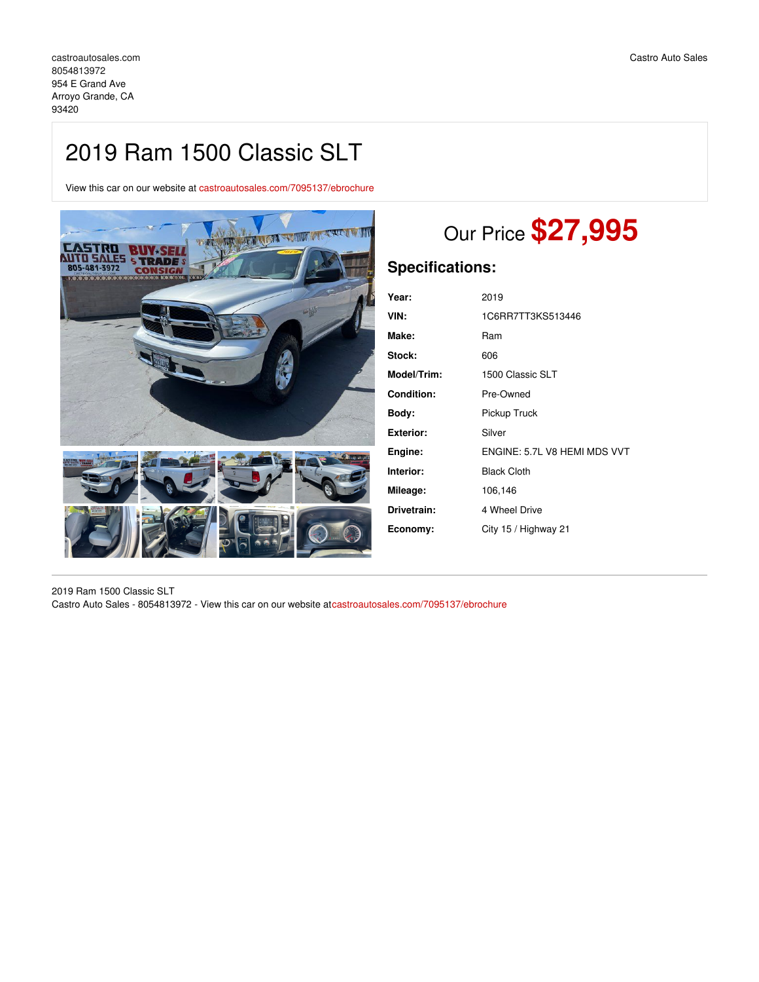## 2019 Ram 1500 Classic SLT

View this car on our website at [castroautosales.com/7095137/ebrochure](https://castroautosales.com/vehicle/7095137/2019-ram-1500-classic-slt-arroyo-grande-ca-93420/7095137/ebrochure)



# Our Price **\$27,995**

## **Specifications:**

| Year:             | 2019                         |
|-------------------|------------------------------|
| VIN:              | 1C6RR7TT3KS513446            |
| Make:             | Ram                          |
| Stock:            | 606                          |
| Model/Trim:       | 1500 Classic SLT             |
| <b>Condition:</b> | Pre-Owned                    |
| Body:             | Pickup Truck                 |
| Exterior:         | Silver                       |
| Engine:           | ENGINE: 5.7L V8 HEMI MDS VVT |
| Interior:         | <b>Black Cloth</b>           |
| Mileage:          | 106,146                      |
| Drivetrain:       | 4 Wheel Drive                |
| Economy:          | City 15 / Highway 21         |
|                   |                              |

2019 Ram 1500 Classic SLT Castro Auto Sales - 8054813972 - View this car on our website at[castroautosales.com/7095137/ebrochure](https://castroautosales.com/vehicle/7095137/2019-ram-1500-classic-slt-arroyo-grande-ca-93420/7095137/ebrochure)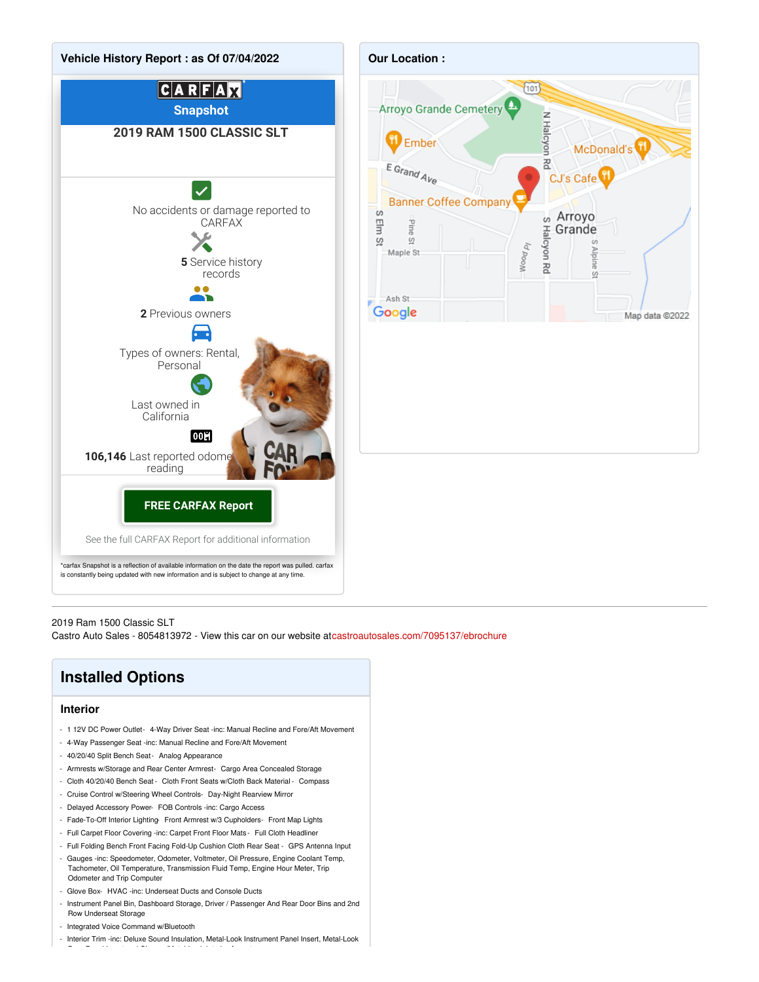

2019 Ram 1500 Classic SLT

Castro Auto Sales - 8054813972 - View this car on our website at[castroautosales.com/7095137/ebrochure](https://castroautosales.com/vehicle/7095137/2019-ram-1500-classic-slt-arroyo-grande-ca-93420/7095137/ebrochure)

## **Installed Options**

#### **Interior**

- 1 12V DC Power Outlet- 4-Way Driver Seat -inc: Manual Recline and Fore/Aft Movement
- 4-Way Passenger Seat -inc: Manual Recline and Fore/Aft Movement
- 40/20/40 Split Bench Seat- Analog Appearance
- Armrests w/Storage and Rear Center Armrest- Cargo Area Concealed Storage
- Cloth 40/20/40 Bench Seat Cloth Front Seats w/Cloth Back Material Compass
- Cruise Control w/Steering Wheel Controls- Day-Night Rearview Mirror
- Delayed Accessory Power- FOB Controls -inc: Cargo Access
- Fade-To-Off Interior Lighting- Front Armrest w/3 Cupholders- Front Map Lights
- Full Carpet Floor Covering -inc: Carpet Front Floor Mats Full Cloth Headliner
- Full Folding Bench Front Facing Fold-Up Cushion Cloth Rear Seat GPS Antenna Input
- Gauges -inc: Speedometer, Odometer, Voltmeter, Oil Pressure, Engine Coolant Temp, Tachometer, Oil Temperature, Transmission Fluid Temp, Engine Hour Meter, Trip Odometer and Trip Computer
- Glove Box- HVAC -inc: Underseat Ducts and Console Ducts

Door Panel Insert and Chrome/Metal-Look Interior Accents

- Instrument Panel Bin, Dashboard Storage, Driver / Passenger And Rear Door Bins and 2nd Row Underseat Storage
- Integrated Voice Command w/Bluetooth
- Interior Trim -inc: Deluxe Sound Insulation, Metal-Look Instrument Panel Insert, Metal-Look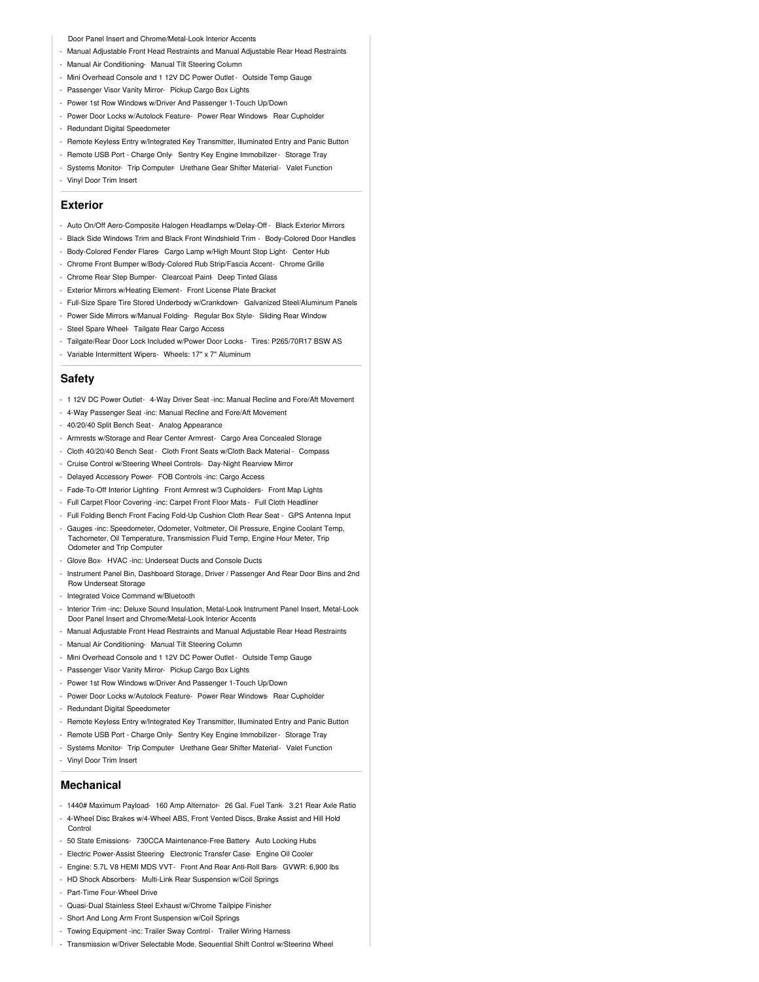Door Panel Insert and Chrome/Metal-Look Interior Accents

- Manual Adjustable Front Head Restraints and Manual Adjustable Rear Head Restraints
- Manual Air Conditioning- Manual Tilt Steering Column
- Mini Overhead Console and 1 12V DC Power Outlet Outside Temp Gauge
- Passenger Visor Vanity Mirror- Pickup Cargo Box Lights
- Power 1st Row Windows w/Driver And Passenger 1-Touch Up/Down
- Power Door Locks w/Autolock Feature- Power Rear Windows- Rear Cupholder
- Redundant Digital Speedometer
- Remote Keyless Entry w/Integrated Key Transmitter, Illuminated Entry and Panic Button
- Remote USB Port Charge Only- Sentry Key Engine Immobilizer Storage Tray
- Systems Monitor- Trip Computer- Urethane Gear Shifter Material- Valet Function
- Vinyl Door Trim Insert

#### **Exterior**

- Auto On/Off Aero-Composite Halogen Headlamps w/Delay-Off Black Exterior Mirrors
- Black Side Windows Trim and Black Front Windshield Trim Body-Colored Door Handles
- Body-Colored Fender Flares- Cargo Lamp w/High Mount Stop Light- Center Hub
- Chrome Front Bumper w/Body-Colored Rub Strip/Fascia Accent- Chrome Grille
- Chrome Rear Step Bumper- Clearcoat Paint- Deep Tinted Glass
- Exterior Mirrors w/Heating Element- Front License Plate Bracket
- Full-Size Spare Tire Stored Underbody w/Crankdown- Galvanized Steel/Aluminum Panels
- Power Side Mirrors w/Manual Folding- Regular Box Style- Sliding Rear Window
- Steel Spare Wheel- Tailgate Rear Cargo Access
- Tailgate/Rear Door Lock Included w/Power Door Locks Tires: P265/70R17 BSW AS
- Variable Intermittent Wipers- Wheels: 17" x 7" Aluminum

#### **Safety**

- 1 12V DC Power Outlet- 4-Way Driver Seat -inc: Manual Recline and Fore/Aft Movement
- 4-Way Passenger Seat -inc: Manual Recline and Fore/Aft Movement
- 40/20/40 Split Bench Seat- Analog Appearance
- Armrests w/Storage and Rear Center Armrest- Cargo Area Concealed Storage
- Cloth 40/20/40 Bench Seat Cloth Front Seats w/Cloth Back Material Compass
- Cruise Control w/Steering Wheel Controls- Day-Night Rearview Mirror
- Delayed Accessory Power- FOB Controls -inc: Cargo Access
- Fade-To-Off Interior Lighting- Front Armrest w/3 Cupholders- Front Map Lights
- Full Carpet Floor Covering -inc: Carpet Front Floor Mats Full Cloth Headliner
- Full Folding Bench Front Facing Fold-Up Cushion Cloth Rear Seat GPS Antenna Input
- Gauges -inc: Speedometer, Odometer, Voltmeter, Oil Pressure, Engine Coolant Temp, Tachometer, Oil Temperature, Transmission Fluid Temp, Engine Hour Meter, Trip Odometer and Trip Computer
- Glove Box- HVAC -inc: Underseat Ducts and Console Ducts
- Instrument Panel Bin, Dashboard Storage, Driver / Passenger And Rear Door Bins and 2nd Row Underseat Storage
- Integrated Voice Command w/Bluetooth
- Interior Trim -inc: Deluxe Sound Insulation, Metal-Look Instrument Panel Insert, Metal-Look Door Panel Insert and Chrome/Metal-Look Interior Accents
- Manual Adjustable Front Head Restraints and Manual Adjustable Rear Head Restraints
- Manual Air Conditioning- Manual Tilt Steering Column
- Mini Overhead Console and 1 12V DC Power Outlet Outside Temp Gauge
- Passenger Visor Vanity Mirror- Pickup Cargo Box Lights
- Power 1st Row Windows w/Driver And Passenger 1-Touch Up/Down
- Power Door Locks w/Autolock Feature- Power Rear Windows- Rear Cupholder
- Redundant Digital Speedometer
- Remote Keyless Entry w/Integrated Key Transmitter, Illuminated Entry and Panic Button
- Remote USB Port Charge Only- Sentry Key Engine Immobilizer Storage Tray
- Systems Monitor- Trip Computer- Urethane Gear Shifter Material- Valet Function
- Vinyl Door Trim Insert

#### **Mechanical**

- 1440# Maximum Payload- 160 Amp Alternator- 26 Gal. Fuel Tank- 3.21 Rear Axle Ratio - 4-Wheel Disc Brakes w/4-Wheel ABS, Front Vented Discs, Brake Assist and Hill Hold
- **Control** - 50 State Emissions- 730CCA Maintenance-Free Battery- Auto Locking Hubs
- Electric Power-Assist Steering- Electronic Transfer Case- Engine Oil Cooler
- Engine: 5.7L V8 HEMI MDS VVT- Front And Rear Anti-Roll Bars- GVWR: 6,900 lbs
- HD Shock Absorbers- Multi-Link Rear Suspension w/Coil Springs
- 
- Part-Time Four-Wheel Drive
- Quasi-Dual Stainless Steel Exhaust w/Chrome Tailpipe Finisher
- Short And Long Arm Front Suspension w/Coil Springs
- Towing Equipment -inc: Trailer Sway Control- Trailer Wiring Harness
- Transmission w/Driver Selectable Mode, Sequential Shift Control w/Steering Wheel